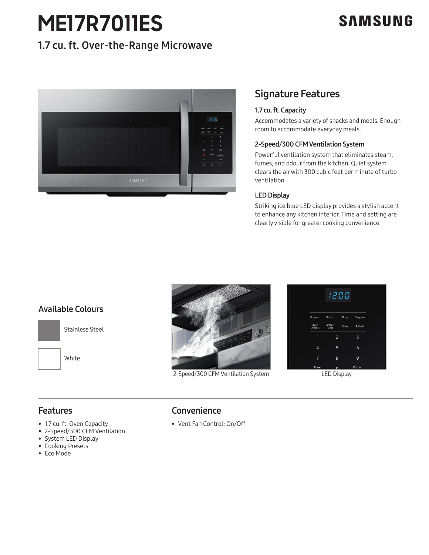# **ME17R7011ES**

# **SAMSUNG**

## 1.7 cu. ft. Over-the-Range Microwave



### Signature Features

### 1.7 cu. ft. Capacity

Accommodates a variety of snacks and meals. Enough room to accommodate everyday meals.

### 2-Speed/300 CFM Ventilation System

Powerful ventilation system that eliminates steam, fumes, and odour from the kitchen. Quiet system clears the air with 300 cubic feet per minute of turbo ventilation.

### LED Display

Striking ice blue LED display provides a stylish accent to enhance any kitchen interior. Time and setting are clearly visible for greater cooking convenience.

### Available Colours



Stainless Steel

White



2-Speed/300 CFM Ventilation System LED Display



### **Features**

- 1.7 cu. ft. Oven Capacity
- 2-Speed/300 CFM Ventilation
- System LED Display
- Cooking Presets
- Eco Mode

### Convenience

• Vent Fan Control: On/Off